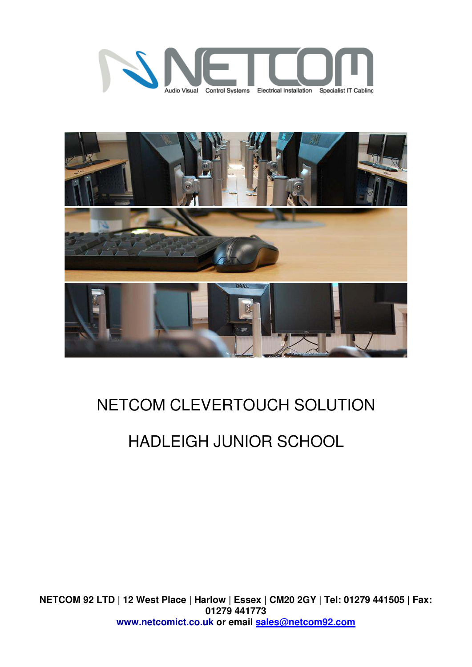



## NETCOM CLEVERTOUCH SOLUTION

# HADLEIGH JUNIOR SCHOOL

**NETCOM 92 LTD | 12 West Place | Harlow | Essex | CM20 2GY | Tel: 01279 441505 | Fax: 01279 441773 www.netcomict.co.uk or email [sales@netcom92.com](mailto:sales@netcom92.com)**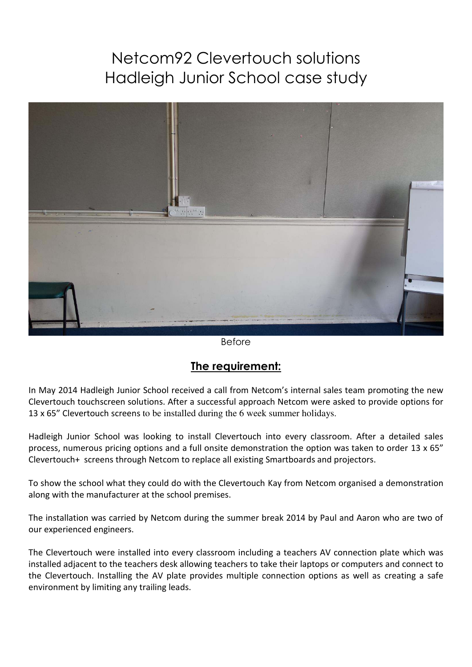### Netcom92 Clevertouch solutions Hadleigh Junior School case study



Before

#### **The requirement:**

In May 2014 Hadleigh Junior School received a call from Netcom's internal sales team promoting the new Clevertouch touchscreen solutions. After a successful approach Netcom were asked to provide options for 13 x 65" Clevertouch screens to be installed during the 6 week summer holidays.

Hadleigh Junior School was looking to install Clevertouch into every classroom. After a detailed sales process, numerous pricing options and a full onsite demonstration the option was taken to order 13 x 65" Clevertouch+ screens through Netcom to replace all existing Smartboards and projectors.

To show the school what they could do with the Clevertouch Kay from Netcom organised a demonstration along with the manufacturer at the school premises.

The installation was carried by Netcom during the summer break 2014 by Paul and Aaron who are two of our experienced engineers.

The Clevertouch were installed into every classroom including a teachers AV connection plate which was installed adjacent to the teachers desk allowing teachers to take their laptops or computers and connect to the Clevertouch. Installing the AV plate provides multiple connection options as well as creating a safe environment by limiting any trailing leads.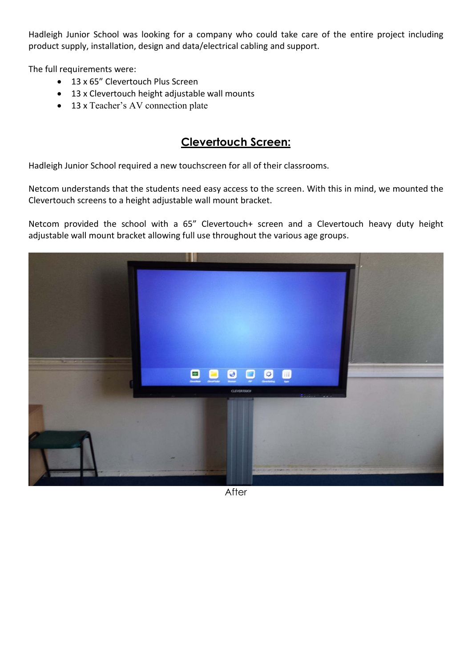Hadleigh Junior School was looking for a company who could take care of the entire project including product supply, installation, design and data/electrical cabling and support.

The full requirements were:

- 13 x 65" Clevertouch Plus Screen
- 13 x Clevertouch height adjustable wall mounts
- 13 x Teacher's AV connection plate

#### **Clevertouch Screen:**

Hadleigh Junior School required a new touchscreen for all of their classrooms.

Netcom understands that the students need easy access to the screen. With this in mind, we mounted the Clevertouch screens to a height adjustable wall mount bracket.

Netcom provided the school with a 65" Clevertouch+ screen and a Clevertouch heavy duty height adjustable wall mount bracket allowing full use throughout the various age groups.



**After**